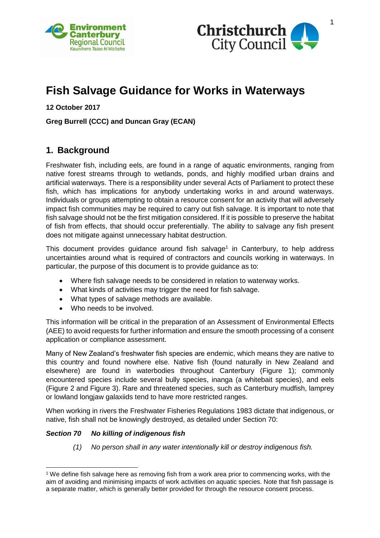



# **Fish Salvage Guidance for Works in Waterways**

**12 October 2017**

#### **Greg Burrell (CCC) and Duncan Gray (ECAN)**

### **1. Background**

Freshwater fish, including eels, are found in a range of aquatic environments, ranging from native forest streams through to wetlands, ponds, and highly modified urban drains and artificial waterways. There is a responsibility under several Acts of Parliament to protect these fish, which has implications for anybody undertaking works in and around waterways. Individuals or groups attempting to obtain a resource consent for an activity that will adversely impact fish communities may be required to carry out fish salvage. It is important to note that fish salvage should not be the first mitigation considered. If it is possible to preserve the habitat of fish from effects, that should occur preferentially. The ability to salvage any fish present does not mitigate against unnecessary habitat destruction.

This document provides guidance around fish salvage<sup>1</sup> in Canterbury, to help address uncertainties around what is required of contractors and councils working in waterways. In particular, the purpose of this document is to provide guidance as to:

- Where fish salvage needs to be considered in relation to waterway works.
- What kinds of activities may trigger the need for fish salvage.
- What types of salvage methods are available.
- Who needs to be involved.

This information will be critical in the preparation of an Assessment of Environmental Effects (AEE) to avoid requests for further information and ensure the smooth processing of a consent application or compliance assessment.

Many of New Zealand's freshwater fish species are endemic, which means they are native to this country and found nowhere else. Native fish (found naturally in New Zealand and elsewhere) are found in waterbodies throughout Canterbury (Figure 1); commonly encountered species include several bully species, inanga (a whitebait species), and eels (Figure 2 and Figure 3). Rare and threatened species, such as Canterbury mudfish, lamprey or lowland longjaw galaxiids tend to have more restricted ranges.

When working in rivers the Freshwater Fisheries Regulations 1983 dictate that indigenous, or native, fish shall not be knowingly destroyed, as detailed under Section 70:

#### *Section 70 No killing of indigenous fish*

-

*(1) No person shall in any water intentionally kill or destroy indigenous fish.*

<sup>&</sup>lt;sup>1</sup> We define fish salvage here as removing fish from a work area prior to commencing works, with the aim of avoiding and minimising impacts of work activities on aquatic species. Note that fish passage is a separate matter, which is generally better provided for through the resource consent process.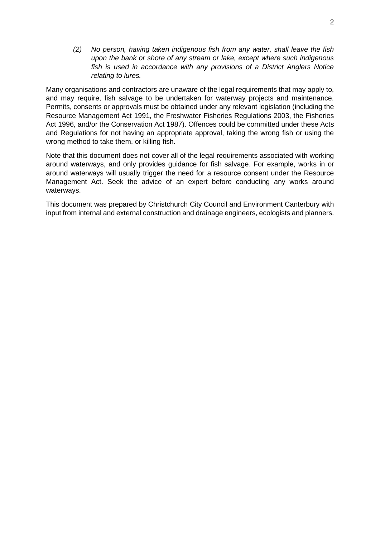*(2) No person, having taken indigenous fish from any water, shall leave the fish upon the bank or shore of any stream or lake, except where such indigenous fish is used in accordance with any provisions of a District Anglers Notice relating to lures.*

Many organisations and contractors are unaware of the legal requirements that may apply to, and may require, fish salvage to be undertaken for waterway projects and maintenance. Permits, consents or approvals must be obtained under any relevant legislation (including the Resource Management Act 1991, the Freshwater Fisheries Regulations 2003, the Fisheries Act 1996, and/or the Conservation Act 1987). Offences could be committed under these Acts and Regulations for not having an appropriate approval, taking the wrong fish or using the wrong method to take them, or killing fish.

Note that this document does not cover all of the legal requirements associated with working around waterways, and only provides guidance for fish salvage. For example, works in or around waterways will usually trigger the need for a resource consent under the Resource Management Act. Seek the advice of an expert before conducting any works around waterways.

This document was prepared by Christchurch City Council and Environment Canterbury with input from internal and external construction and drainage engineers, ecologists and planners.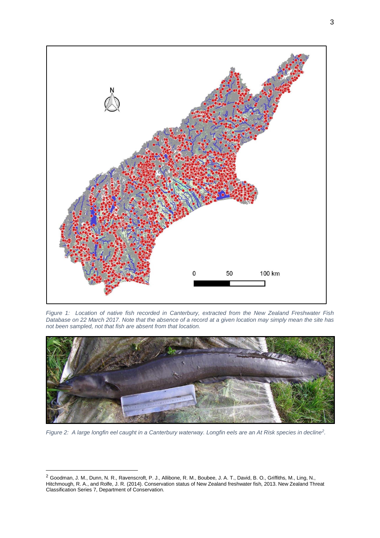

*Figure 1: Location of native fish recorded in Canterbury, extracted from the New Zealand Freshwater Fish Database on 22 March 2017. Note that the absence of a record at a given location may simply mean the site has not been sampled, not that fish are absent from that location.*



*Figure 2: A large longfin eel caught in a Canterbury waterway. Longfin eels are an At Risk species in decline<sup>2</sup> .*

-

<sup>2</sup> Goodman, J. M., Dunn, N. R., Ravenscroft, P. J., Allibone, R. M., Boubee, J. A. T., David, B. O., Griffiths, M., Ling, N., Hitchmough, R. A., and Rolfe, J. R. (2014). Conservation status of New Zealand freshwater fish, 2013. New Zealand Threat Classification Series 7, Department of Conservation.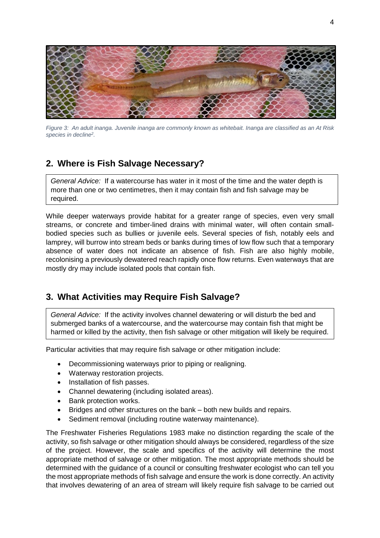

*Figure 3: An adult inanga. Juvenile inanga are commonly known as whitebait. Inanga are classified as an At Risk species in decline<sup>2</sup> .*

# **2. Where is Fish Salvage Necessary?**

*General Advice:* If a watercourse has water in it most of the time and the water depth is more than one or two centimetres, then it may contain fish and fish salvage may be required.

While deeper waterways provide habitat for a greater range of species, even very small streams, or concrete and timber-lined drains with minimal water, will often contain smallbodied species such as bullies or juvenile eels. Several species of fish, notably eels and lamprey, will burrow into stream beds or banks during times of low flow such that a temporary absence of water does not indicate an absence of fish. Fish are also highly mobile, recolonising a previously dewatered reach rapidly once flow returns. Even waterways that are mostly dry may include isolated pools that contain fish.

# **3. What Activities may Require Fish Salvage?**

*General Advice:* If the activity involves channel dewatering or will disturb the bed and submerged banks of a watercourse, and the watercourse may contain fish that might be harmed or killed by the activity, then fish salvage or other mitigation will likely be required.

Particular activities that may require fish salvage or other mitigation include:

- Decommissioning waterways prior to piping or realigning.
- Waterway restoration projects.
- Installation of fish passes.
- Channel dewatering (including isolated areas).
- Bank protection works.
- Bridges and other structures on the bank both new builds and repairs.
- Sediment removal (including routine waterway maintenance).

The Freshwater Fisheries Regulations 1983 make no distinction regarding the scale of the activity, so fish salvage or other mitigation should always be considered, regardless of the size of the project. However, the scale and specifics of the activity will determine the most appropriate method of salvage or other mitigation. The most appropriate methods should be determined with the guidance of a council or consulting freshwater ecologist who can tell you the most appropriate methods of fish salvage and ensure the work is done correctly. An activity that involves dewatering of an area of stream will likely require fish salvage to be carried out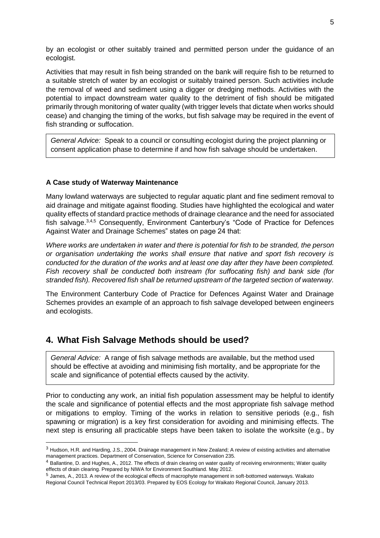by an ecologist or other suitably trained and permitted person under the guidance of an ecologist.

Activities that may result in fish being stranded on the bank will require fish to be returned to a suitable stretch of water by an ecologist or suitably trained person. Such activities include the removal of weed and sediment using a digger or dredging methods. Activities with the potential to impact downstream water quality to the detriment of fish should be mitigated primarily through monitoring of water quality (with trigger levels that dictate when works should cease) and changing the timing of the works, but fish salvage may be required in the event of fish stranding or suffocation.

*General Advice:* Speak to a council or consulting ecologist during the project planning or consent application phase to determine if and how fish salvage should be undertaken.

#### **A Case study of Waterway Maintenance**

-

Many lowland waterways are subjected to regular aquatic plant and fine sediment removal to aid drainage and mitigate against flooding. Studies have highlighted the ecological and water quality effects of standard practice methods of drainage clearance and the need for associated fish salvage.<sup>3,4,5</sup> Consequently, Environment Canterbury's "Code of Practice for Defences Against Water and Drainage Schemes" states on page 24 that:

*Where works are undertaken in water and there is potential for fish to be stranded, the person or organisation undertaking the works shall ensure that native and sport fish recovery is conducted for the duration of the works and at least one day after they have been completed. Fish recovery shall be conducted both instream (for suffocating fish) and bank side (for stranded fish). Recovered fish shall be returned upstream of the targeted section of waterway.*

The Environment Canterbury Code of Practice for Defences Against Water and Drainage Schemes provides an example of an approach to fish salvage developed between engineers and ecologists.

### **4. What Fish Salvage Methods should be used?**

*General Advice:* A range of fish salvage methods are available, but the method used should be effective at avoiding and minimising fish mortality, and be appropriate for the scale and significance of potential effects caused by the activity.

Prior to conducting any work, an initial fish population assessment may be helpful to identify the scale and significance of potential effects and the most appropriate fish salvage method or mitigations to employ. Timing of the works in relation to sensitive periods (e.g., fish spawning or migration) is a key first consideration for avoiding and minimising effects. The next step is ensuring all practicable steps have been taken to isolate the worksite (e.g., by

<sup>3</sup> Hudson, H.R. and Harding, J.S., 2004. Drainage management in New Zealand; A review of existing activities and alternative management practices. Department of Conservation, Science for Conservation 235.

<sup>&</sup>lt;sup>4</sup> Ballantine, D. and Hughes, A., 2012. The effects of drain clearing on water quality of receiving environments; Water quality effects of drain clearing. Prepared by NIWA for Environment Southland. May 2012.

<sup>5</sup> James, A., 2013. A review of the ecological effects of macrophyte management in soft-bottomed waterways. Waikato Regional Council Technical Report 2013/03. Prepared by EOS Ecology for Waikato Regional Council, January 2013.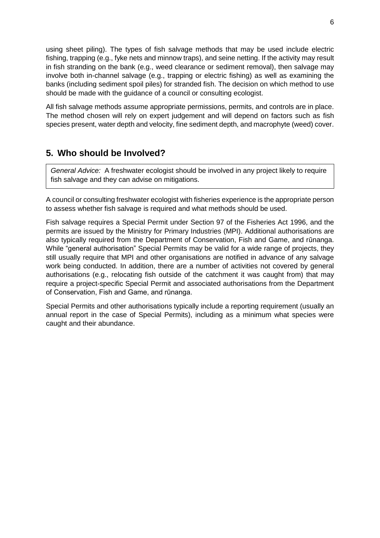using sheet piling). The types of fish salvage methods that may be used include electric fishing, trapping (e.g., fyke nets and minnow traps), and seine netting. If the activity may result in fish stranding on the bank (e.g., weed clearance or sediment removal), then salvage may involve both in-channel salvage (e.g., trapping or electric fishing) as well as examining the banks (including sediment spoil piles) for stranded fish. The decision on which method to use should be made with the guidance of a council or consulting ecologist.

All fish salvage methods assume appropriate permissions, permits, and controls are in place. The method chosen will rely on expert judgement and will depend on factors such as fish species present, water depth and velocity, fine sediment depth, and macrophyte (weed) cover.

# **5. Who should be Involved?**

*General Advice:* A freshwater ecologist should be involved in any project likely to require fish salvage and they can advise on mitigations.

A council or consulting freshwater ecologist with fisheries experience is the appropriate person to assess whether fish salvage is required and what methods should be used.

Fish salvage requires a Special Permit under Section 97 of the Fisheries Act 1996, and the permits are issued by the Ministry for Primary Industries (MPI). Additional authorisations are also typically required from the Department of Conservation, Fish and Game, and rūnanga. While "general authorisation" Special Permits may be valid for a wide range of projects, they still usually require that MPI and other organisations are notified in advance of any salvage work being conducted. In addition, there are a number of activities not covered by general authorisations (e.g., relocating fish outside of the catchment it was caught from) that may require a project-specific Special Permit and associated authorisations from the Department of Conservation, Fish and Game, and rūnanga.

Special Permits and other authorisations typically include a reporting requirement (usually an annual report in the case of Special Permits), including as a minimum what species were caught and their abundance.